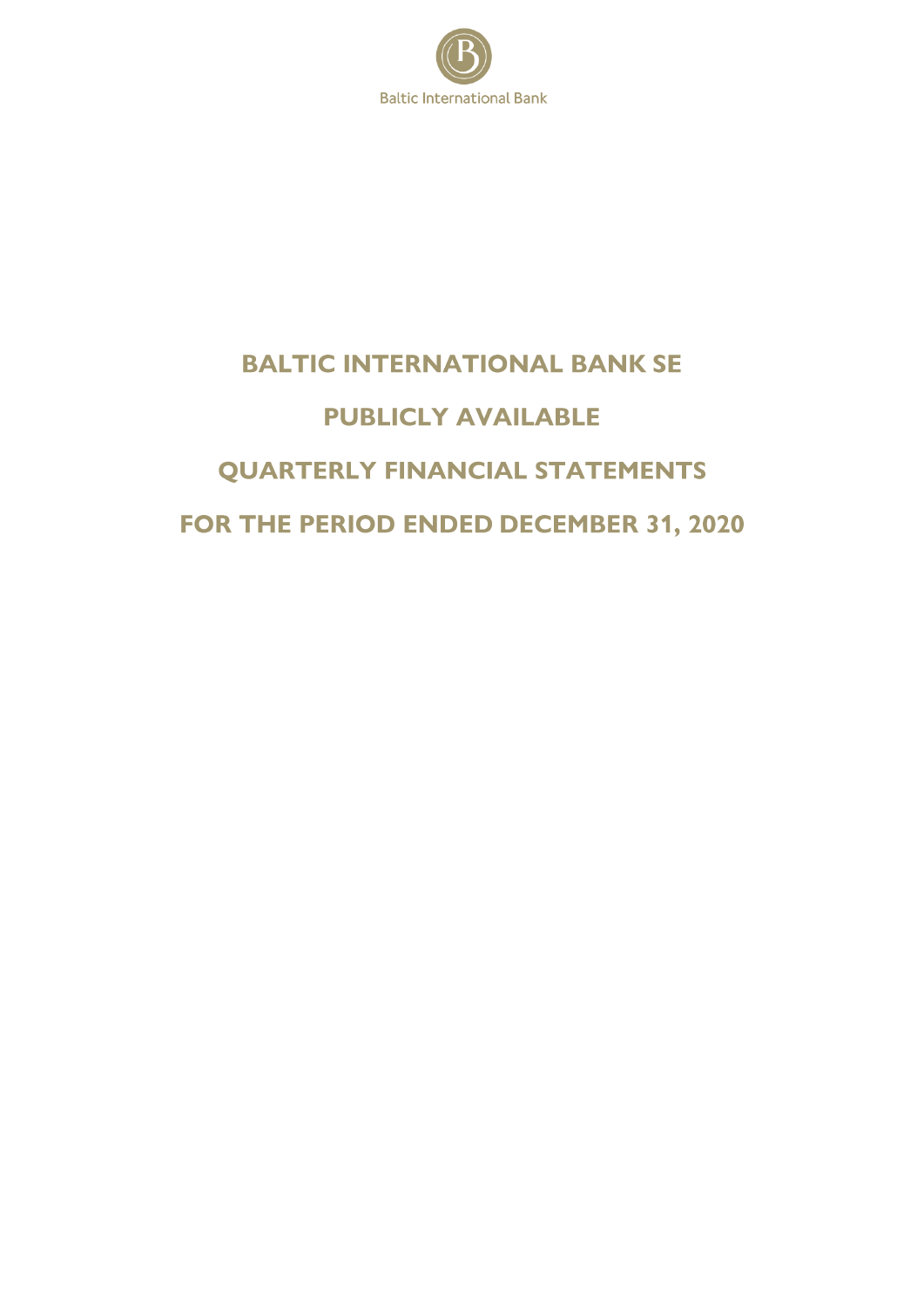

# **BALTIC INTERNATIONAL BANK SE PUBLICLY AVAILABLE QUARTERLY FINANCIAL STATEMENTS** FOR THE PERIOD ENDED DECEMBER 31, 2020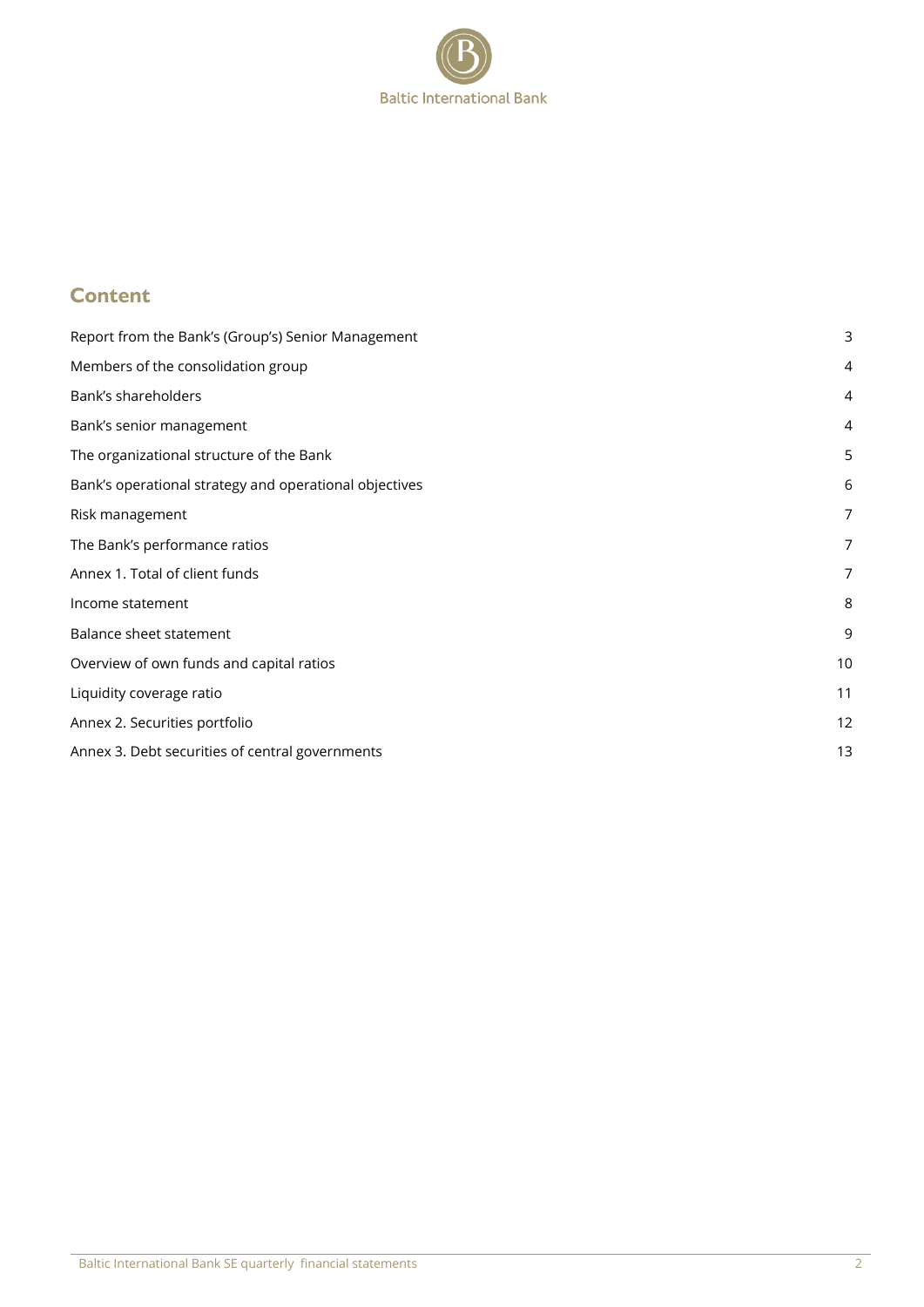

#### **Content**

| Report from the Bank's (Group's) Senior Management     | 3  |
|--------------------------------------------------------|----|
| Members of the consolidation group                     | 4  |
| Bank's shareholders                                    | 4  |
| Bank's senior management                               | 4  |
| The organizational structure of the Bank               | 5  |
| Bank's operational strategy and operational objectives | 6  |
| Risk management                                        | 7  |
| The Bank's performance ratios                          | 7  |
| Annex 1. Total of client funds                         | 7  |
| Income statement                                       | 8  |
| Balance sheet statement                                | S  |
| Overview of own funds and capital ratios               | 10 |
| Liquidity coverage ratio                               | 11 |
| Annex 2. Securities portfolio                          | 12 |
| Annex 3. Debt securities of central governments        | 13 |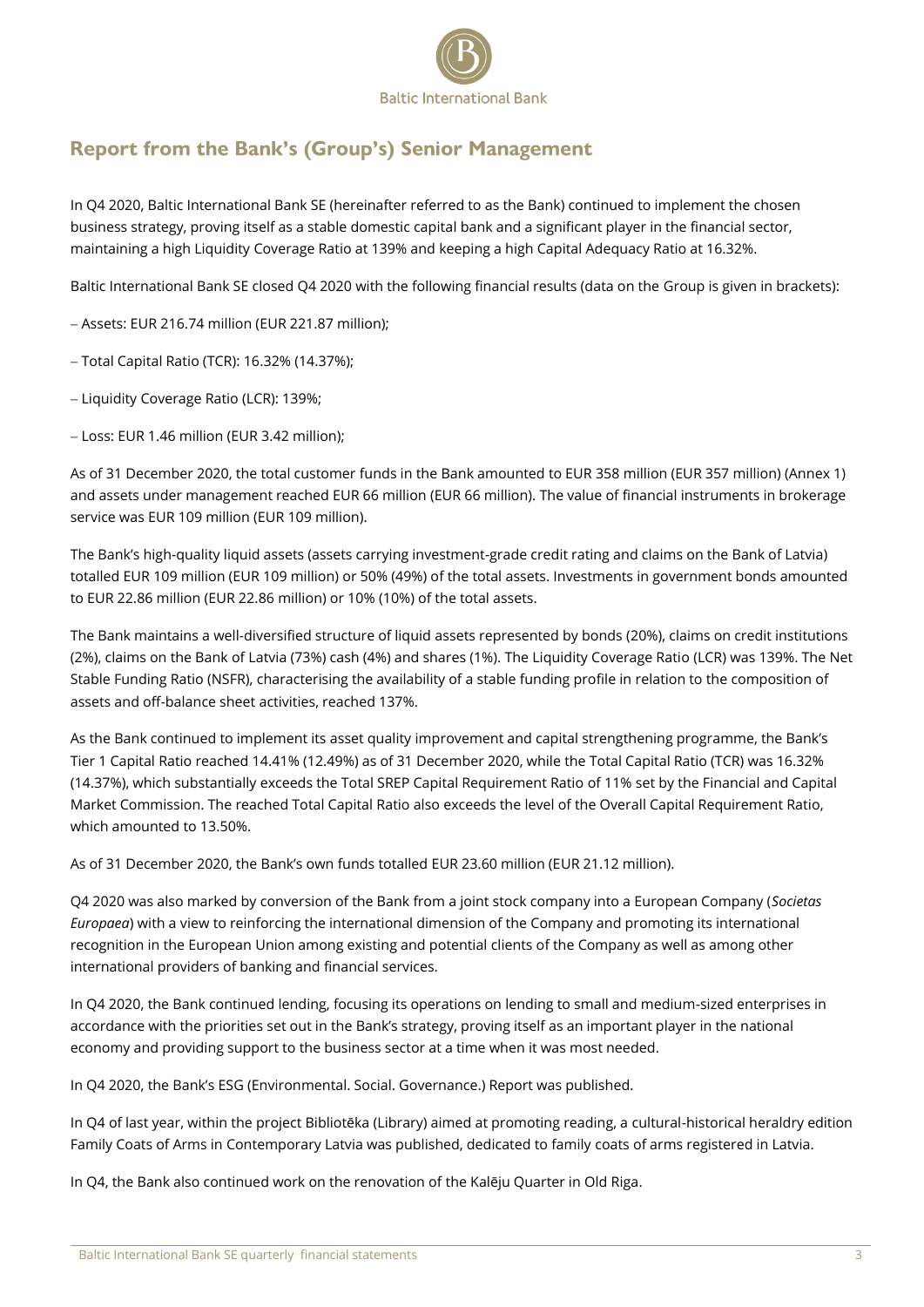

## <span id="page-2-0"></span>**Report from the Bank's (Group's) Senior Management**

<span id="page-2-1"></span>In Q4 2020, Baltic International Bank SE (hereinafter referred to as the Bank) continued to implement the chosen business strategy, proving itself as a stable domestic capital bank and a significant player in the financial sector, maintaining a high Liquidity Coverage Ratio at 139% and keeping a high Capital Adequacy Ratio at 16.32%.

Baltic International Bank SE closed Q4 2020 with the following financial results (data on the Group is given in brackets):

- Assets: EUR 216.74 million (EUR 221.87 million);
- Total Capital Ratio (TCR): 16.32% (14.37%);
- Liquidity Coverage Ratio (LCR): 139%;
- Loss: EUR 1.46 million (EUR 3.42 million);

As of 31 December 2020, the total customer funds in the Bank amounted to EUR 358 million (EUR 357 million) (Annex 1) and assets under management reached EUR 66 million (EUR 66 million). The value of financial instruments in brokerage service was EUR 109 million (EUR 109 million).

The Bank's high-quality liquid assets (assets carrying investment-grade credit rating and claims on the Bank of Latvia) totalled EUR 109 million (EUR 109 million) or 50% (49%) of the total assets. Investments in government bonds amounted to EUR 22.86 million (EUR 22.86 million) or 10% (10%) of the total assets.

The Bank maintains a well-diversified structure of liquid assets represented by bonds (20%), claims on credit institutions (2%), claims on the Bank of Latvia (73%) cash (4%) and shares (1%). The Liquidity Coverage Ratio (LCR) was 139%. The Net Stable Funding Ratio (NSFR), characterising the availability of a stable funding profile in relation to the composition of assets and off-balance sheet activities, reached 137%.

As the Bank continued to implement its asset quality improvement and capital strengthening programme, the Bank's Tier 1 Capital Ratio reached 14.41% (12.49%) as of 31 December 2020, while the Total Capital Ratio (TCR) was 16.32% (14.37%), which substantially exceeds the Total SREP Capital Requirement Ratio of 11% set by the Financial and Capital Market Commission. The reached Total Capital Ratio also exceeds the level of the Overall Capital Requirement Ratio, which amounted to 13.50%.

As of 31 December 2020, the Bank's own funds totalled EUR 23.60 million (EUR 21.12 million).

Q4 2020 was also marked by conversion of the Bank from a joint stock company into a European Company (*Societas Europaea*) with a view to reinforcing the international dimension of the Company and promoting its international recognition in the European Union among existing and potential clients of the Company as well as among other international providers of banking and financial services.

In Q4 2020, the Bank continued lending, focusing its operations on lending to small and medium-sized enterprises in accordance with the priorities set out in the Bank's strategy, proving itself as an important player in the national economy and providing support to the business sector at a time when it was most needed.

In Q4 2020, the Bank's ESG (Environmental. Social. Governance.) Report was published.

In Q4 of last year, within the project Bibliotēka (Library) aimed at promoting reading, a cultural-historical heraldry edition Family Coats of Arms in Contemporary Latvia was published, dedicated to family coats of arms registered in Latvia.

In Q4, the Bank also continued work on the renovation of the Kalēju Quarter in Old Riga.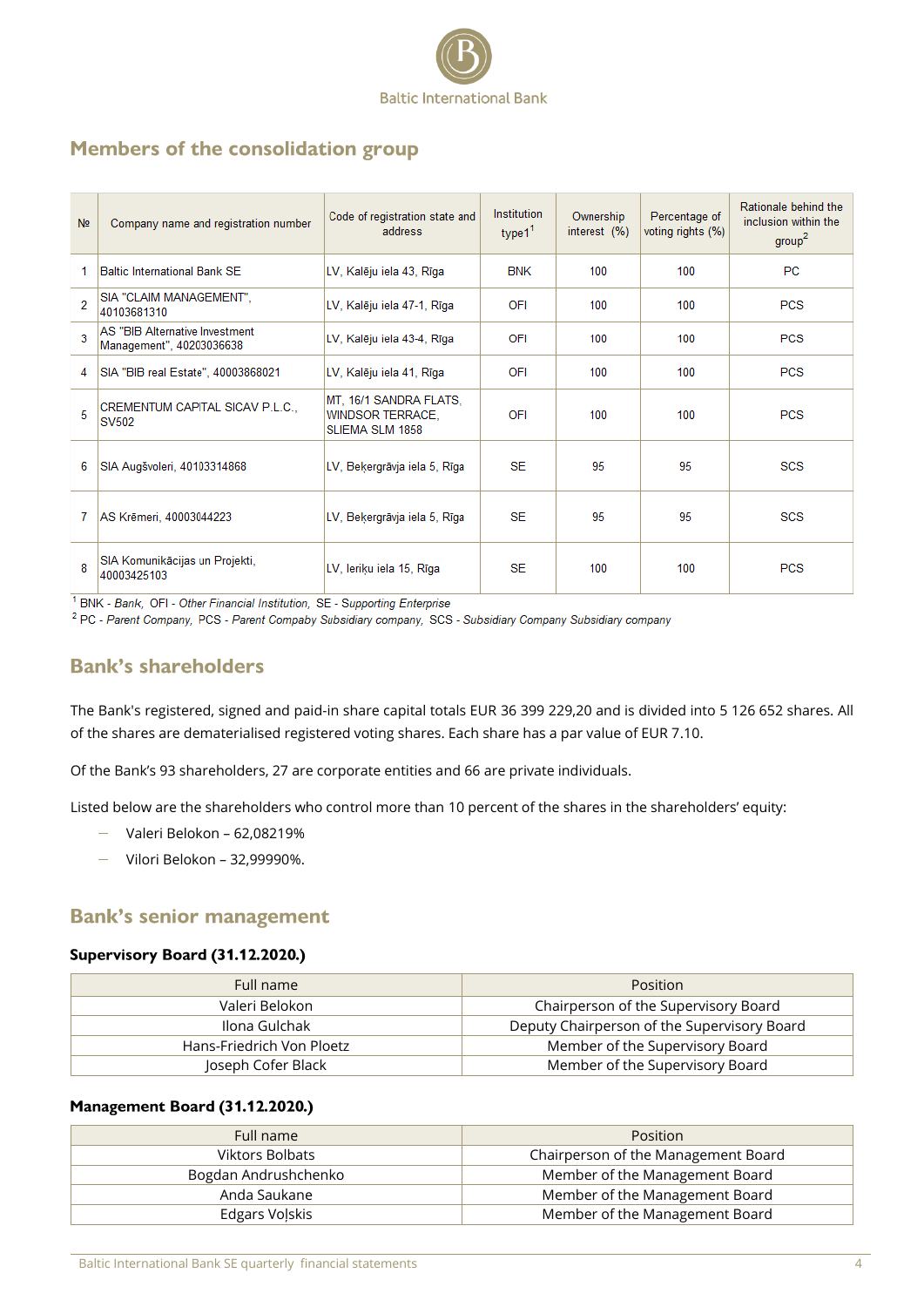<span id="page-3-0"></span>

#### Members of the consolidation group

| N <sub>2</sub> | Company name and registration number                       | Code of registration state and<br>address                            | <b>Institution</b><br>type1 <sup>1</sup> | Ownership<br>interest $(%)$ | Percentage of<br>voting rights (%) | Rationale behind the<br>inclusion within the<br>group <sup>2</sup> |
|----------------|------------------------------------------------------------|----------------------------------------------------------------------|------------------------------------------|-----------------------------|------------------------------------|--------------------------------------------------------------------|
| 1              | <b>Baltic International Bank SE</b>                        | LV, Kalēju iela 43, Rīga                                             | <b>BNK</b>                               | 100                         | 100                                | <b>PC</b>                                                          |
| $\overline{2}$ | SIA "CLAIM MANAGEMENT",<br>40103681310                     | LV, Kalēju iela 47-1, Rīga                                           | OFI                                      | 100                         | 100                                | <b>PCS</b>                                                         |
| 3              | AS "BIB Alternative Investment<br>Management", 40203036638 | LV, Kalēju iela 43-4, Rīga                                           | OFI                                      | 100                         | 100                                | <b>PCS</b>                                                         |
| 4              | SIA "BIB real Estate", 40003868021                         | LV, Kalēju iela 41, Rīga                                             | OFI                                      | 100                         | 100                                | <b>PCS</b>                                                         |
| 5              | CREMENTUM CAPITAL SICAV P.L.C.,<br>SV502                   | MT, 16/1 SANDRA FLATS,<br><b>WINDSOR TERRACE.</b><br>SLIEMA SLM 1858 | OFI                                      | 100                         | 100                                | <b>PCS</b>                                                         |
| 6              | SIA Augšvoleri, 40103314868                                | LV, Beķergrāvja iela 5, Rīga                                         | SF                                       | 95                          | 95                                 | <b>SCS</b>                                                         |
| 7              | AS Krēmeri, 40003044223                                    | LV, Beķergrāvja iela 5, Rīga                                         | <b>SF</b>                                | 95                          | 95                                 | <b>SCS</b>                                                         |
| 8              | SIA Komunikācijas un Projekti,<br>40003425103              | LV, leriku iela 15, Rīga                                             | <b>SF</b>                                | 100                         | 100                                | <b>PCS</b>                                                         |

<sup>1</sup> BNK - Bank, OFI - Other Financial Institution, SE - Supporting Enterprise

2 PC - Parent Company, PCS - Parent Compaby Subsidiary company, SCS - Subsidiary Company Subsidiary company

#### **Bank's shareholders**

The Вank's registered, signed and paid-in share capital totals EUR 36 399 229,20 and is divided into 5 126 652 shares. All of the shares are dematerialised registered voting shares. Each share has a par value of EUR 7.10.

Of the Bank's 93 shareholders, 27 are corporate entities and 66 are private individuals.

Listed below are the shareholders who control more than 10 percent of the shares in the shareholders' equity:

- Valeri Belokon 62,08219%
- Vilori Belokon 32,99990%.

#### <span id="page-3-1"></span>**Bank's senior management**

#### Supervisory Board (31.12.2020.)

| Full name                 | Position                                    |
|---------------------------|---------------------------------------------|
| Valeri Belokon            | Chairperson of the Supervisory Board        |
| Ilona Gulchak             | Deputy Chairperson of the Supervisory Board |
| Hans-Friedrich Von Ploetz | Member of the Supervisory Board             |
| Joseph Cofer Black        | Member of the Supervisory Board             |

#### Management Board (31.12.2020.)

| Full name              | Position                            |
|------------------------|-------------------------------------|
| <b>Viktors Bolbats</b> | Chairperson of the Management Board |
| Bogdan Andrushchenko   | Member of the Management Board      |
| Anda Saukane           | Member of the Management Board      |
| Edgars Volskis         | Member of the Management Board      |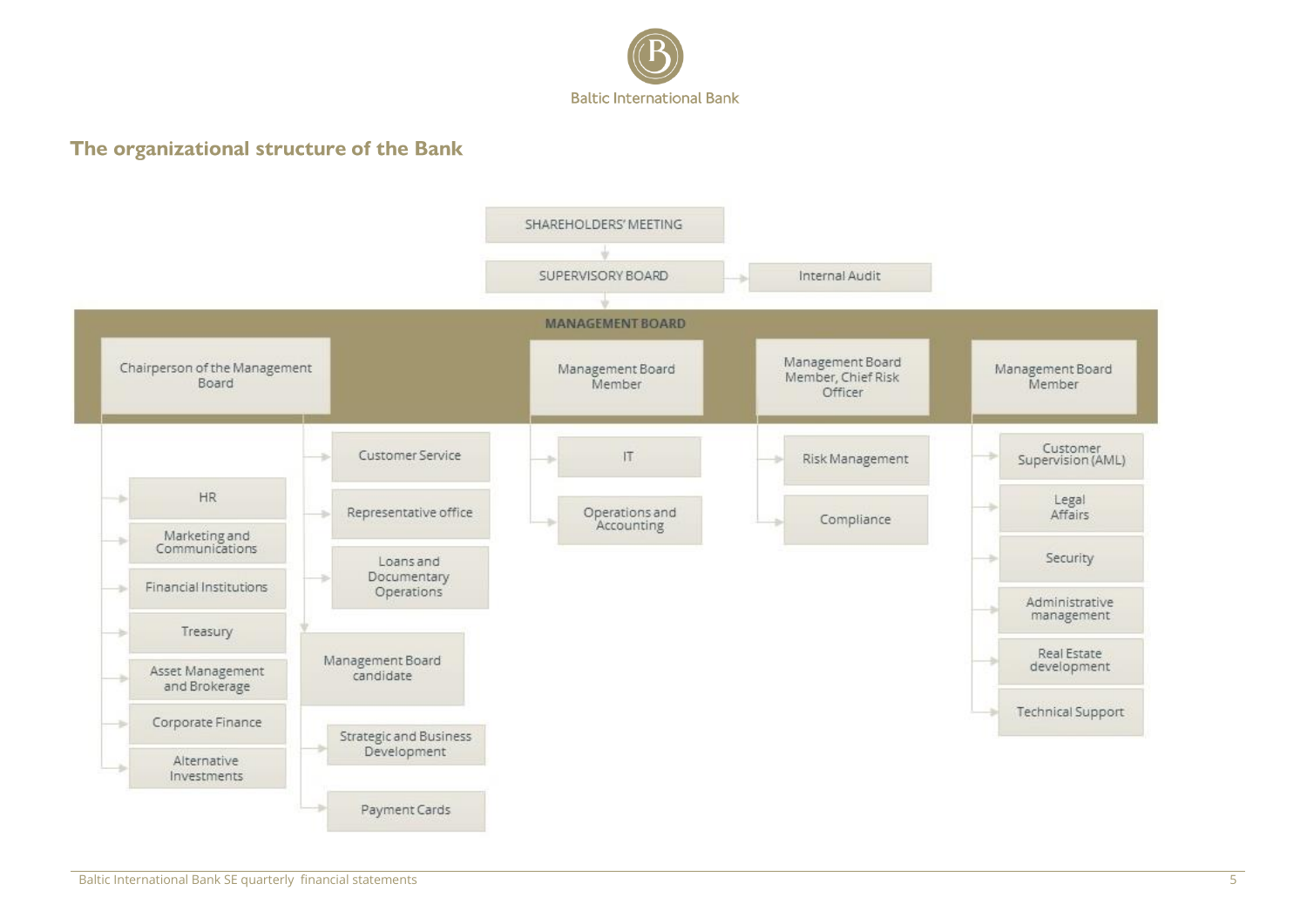

#### The organizational structure of the Bank

<span id="page-4-0"></span>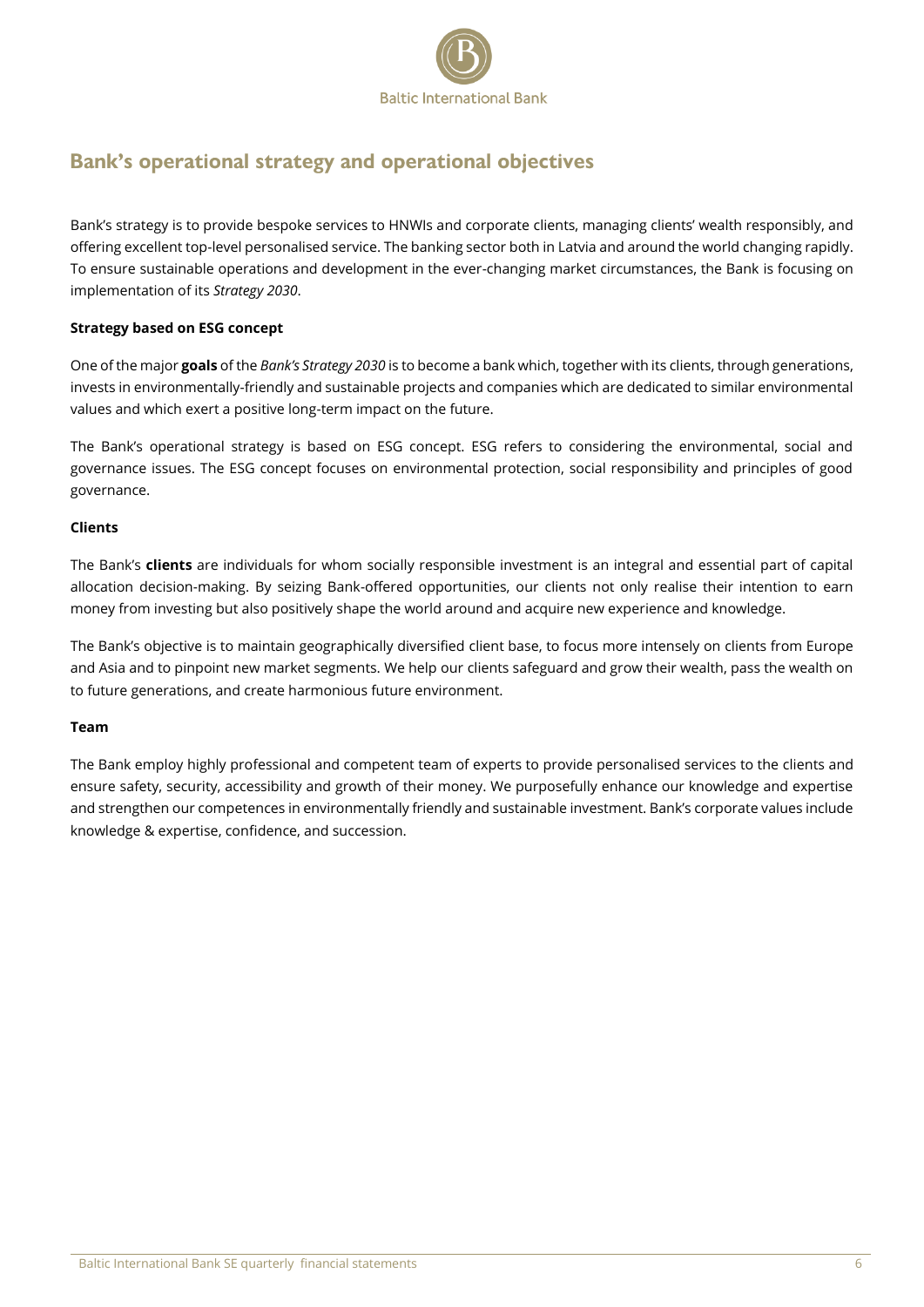

## <span id="page-5-0"></span>**Bank's operational strategy and operational objectives**

Bank's strategy is to provide bespoke services to HNWIs and corporate clients, managing clients' wealth responsibly, and offering excellent top-level personalised service. The banking sector both in Latvia and around the world changing rapidly. To ensure sustainable operations and development in the ever-changing market circumstances, the Bank is focusing on implementation of its *Strategy 2030*.

#### **Strategy based on ESG concept**

One of the major **goals** of the *Bank's Strategy 2030* is to become a bank which, together with its clients, through generations, invests in environmentally-friendly and sustainable projects and companies which are dedicated to similar environmental values and which exert a positive long-term impact on the future.

The Bank's operational strategy is based on ESG concept. ESG refers to considering the environmental, social and governance issues. The ESG concept focuses on environmental protection, social responsibility and principles of good governance.

#### **Clients**

The Bank's **clients** are individuals for whom socially responsible investment is an integral and essential part of capital allocation decision-making. By seizing Bank-offered opportunities, our clients not only realise their intention to earn money from investing but also positively shape the world around and acquire new experience and knowledge.

The Bank's objective is to maintain geographically diversified client base, to focus more intensely on clients from Europe and Asia and to pinpoint new market segments. We help our clients safeguard and grow their wealth, pass the wealth on to future generations, and create harmonious future environment.

#### **Team**

The Bank employ highly professional and competent team of experts to provide personalised services to the clients and ensure safety, security, accessibility and growth of their money. We purposefully enhance our knowledge and expertise and strengthen our competences in environmentally friendly and sustainable investment. Bank's corporate values include knowledge & expertise, confidence, and succession.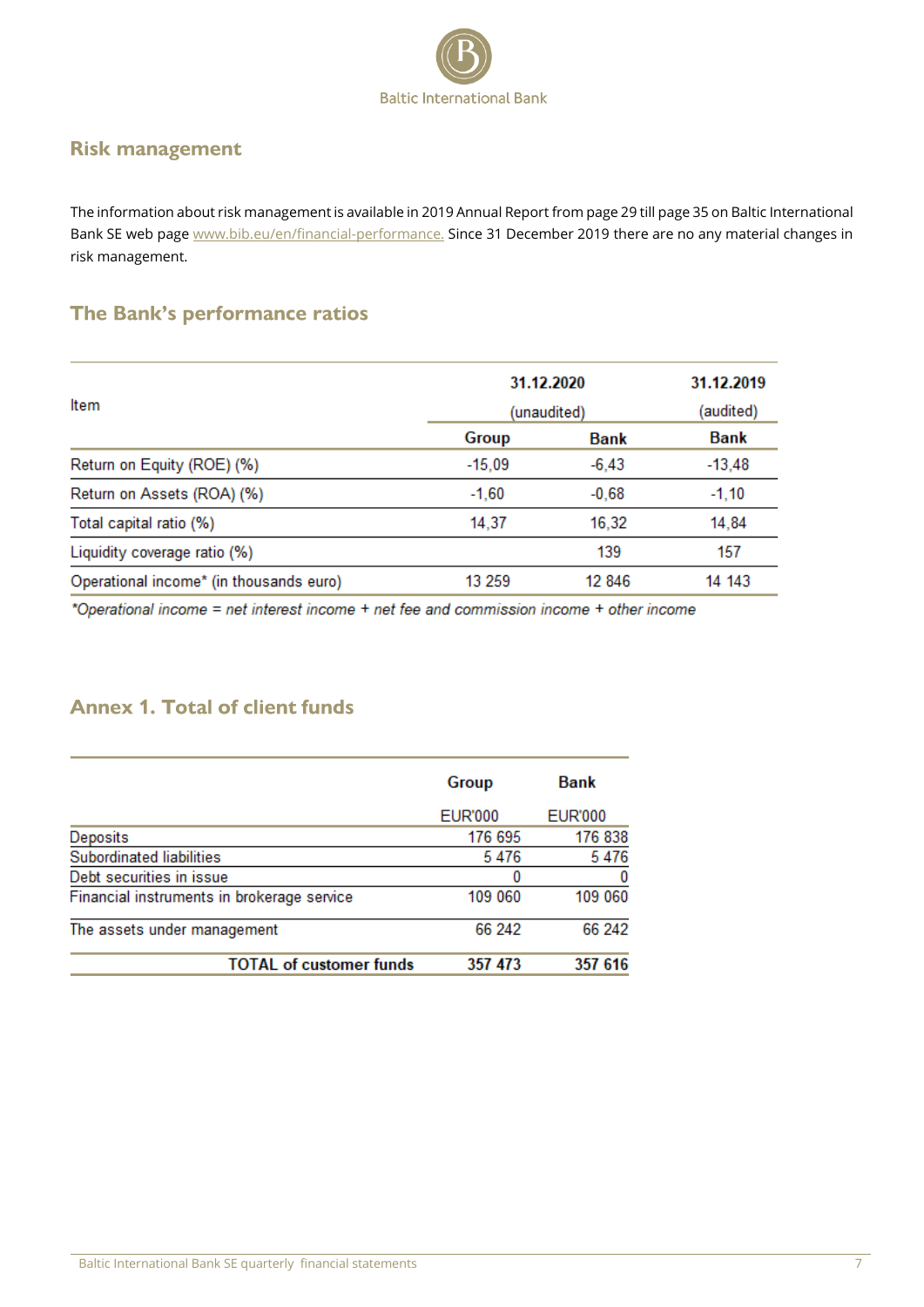<span id="page-6-2"></span>

## <span id="page-6-0"></span>**Risk management**

The information about risk management is available in 2019 Annual Report from page 29 till page 35 on Baltic International Bank SE web page [www.bib.eu/en/financial-performance.](http://www.bib.eu/en/financial-performance) Since 31 December 2019 there are no any material changes in risk management.

## <span id="page-6-1"></span>The Bank's performance ratios

| Item                                    | 31.12.2020<br>(unaudited) | 31.12.2019<br>(audited) |          |
|-----------------------------------------|---------------------------|-------------------------|----------|
|                                         | Group                     | <b>Bank</b>             | Bank     |
| Return on Equity (ROE) (%)              | $-15,09$                  | $-6,43$                 | $-13,48$ |
| Return on Assets (ROA) (%)              | $-1,60$                   | $-0.68$                 | $-1,10$  |
| Total capital ratio (%)                 | 14,37                     | 16.32                   | 14,84    |
| Liquidity coverage ratio (%)            |                           | 139                     | 157      |
| Operational income* (in thousands euro) | 13 259                    | 12 846                  | 14 143   |

\*Operational income = net interest income + net fee and commission income + other income

## **Annex 1. Total of client funds**

|                                            | Group          | <b>Bank</b>    |
|--------------------------------------------|----------------|----------------|
|                                            | <b>EUR'000</b> | <b>EUR'000</b> |
| Deposits                                   | 176 695        | 176 838        |
| Subordinated liabilities                   | 5476           | 5476           |
| Debt securities in issue                   |                | $\bf{0}$       |
| Financial instruments in brokerage service | 109 060        | 109 060        |
| The assets under management                | 66 242         | 66 242         |
| <b>TOTAL of customer funds</b>             | 357 473        | 357 616        |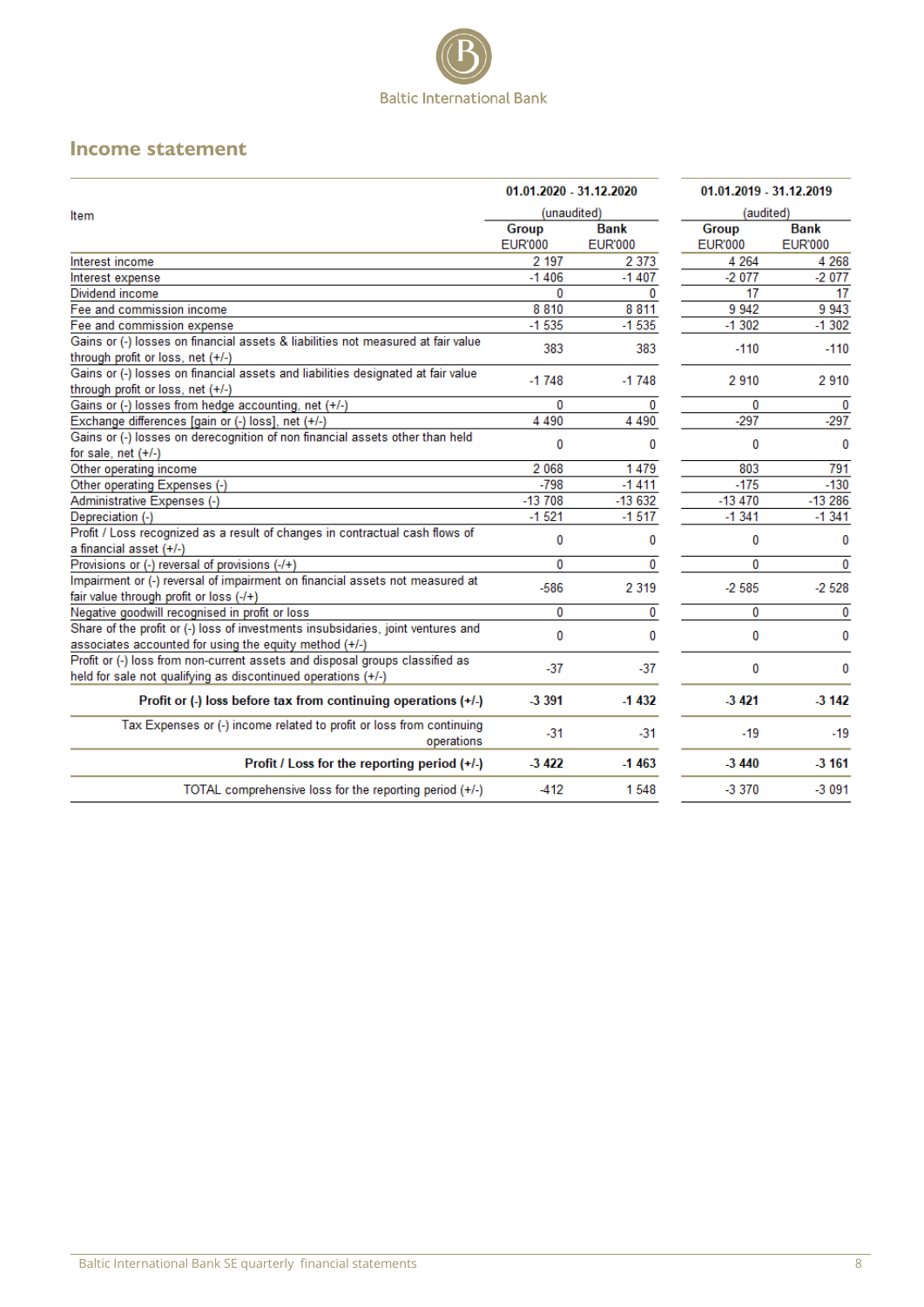

# <span id="page-7-0"></span>**Income statement**

<span id="page-7-1"></span>

|                                                                                    | 01.01.2020 - 31.12.2020 |                | 01.01.2019 - 31.12.2019 |                |
|------------------------------------------------------------------------------------|-------------------------|----------------|-------------------------|----------------|
| Item                                                                               | (unaudited)             |                | (audited)               |                |
|                                                                                    | <b>Group</b>            | <b>Bank</b>    | <b>Group</b>            | <b>Bank</b>    |
|                                                                                    | <b>EUR'000</b>          | <b>EUR'000</b> | <b>EUR'000</b>          | <b>EUR'000</b> |
| Interest income                                                                    | 2 197                   | 2 3 7 3        | 4 2 6 4                 | 4 2 6 8        |
| Interest expense                                                                   | $-1406$                 | $-1407$        | $-2077$                 | $-2077$        |
| Dividend income                                                                    | 0                       | 0              | 17                      | 17             |
| Fee and commission income                                                          | 8 8 1 0                 | 8 8 1 1        | 9 9 4 2                 | 9 9 4 3        |
| Fee and commission expense                                                         | $-1535$                 | $-1535$        | $-1302$                 | $-1302$        |
| Gains or (-) losses on financial assets & liabilities not measured at fair value   | 383                     | 383            | $-110$                  | $-110$         |
| through profit or loss, net (+/-)                                                  |                         |                |                         |                |
| Gains or (-) losses on financial assets and liabilities designated at fair value   | $-1748$                 | $-1748$        | 2910                    | 2910           |
| through profit or loss, net (+/-)                                                  |                         |                |                         |                |
| Gains or (-) losses from hedge accounting, net (+/-)                               | 0                       | 0              | 0                       | 0              |
| Exchange differences [gain or (-) loss], net (+/-)                                 | 4 4 9 0                 | 4 4 9 0        | $-297$                  | $-297$         |
| Gains or (-) losses on derecognition of non financial assets other than held       | 0                       | 0              | 0                       | 0              |
| for sale, net $(+/-)$                                                              |                         |                |                         |                |
| Other operating income                                                             | 2 0 6 8                 | 1479           | 803                     | 791            |
| Other operating Expenses (-)                                                       | $-798$                  | $-1411$        | $-175$                  | $-130$         |
| Administrative Expenses (-)                                                        | $-13708$                | $-13632$       | $-13470$                | $-13286$       |
| Depreciation (-)                                                                   | $-1521$                 | $-1517$        | $-1341$                 | $-1341$        |
| Profit / Loss recognized as a result of changes in contractual cash flows of       | 0                       | o              | 0                       | O              |
| a financial asset $(+/-)$                                                          |                         |                |                         |                |
| Provisions or (-) reversal of provisions (-/+)                                     | 0                       | 0              | 0                       | 0              |
| Impairment or (-) reversal of impairment on financial assets not measured at       | $-586$                  | 2 3 1 9        | $-2585$                 | $-2528$        |
| fair value through profit or loss (-/+)                                            |                         |                |                         |                |
| Negative goodwill recognised in profit or loss                                     | 0                       | 0              | 0                       | 0              |
| Share of the profit or (-) loss of investments insubsidaries, joint ventures and   | $\mathbf{0}$            | 0              | 0                       | 0              |
| associates accounted for using the equity method (+/-)                             |                         |                |                         |                |
| Profit or (-) loss from non-current assets and disposal groups classified as       | $-37$                   | $-37$          | 0                       | 0              |
| held for sale not qualifying as discontinued operations (+/-)                      |                         |                |                         |                |
| Profit or (-) loss before tax from continuing operations $(+/-)$                   | $-3391$                 | $-1432$        | $-3421$                 | $-3142$        |
| Tax Expenses or (-) income related to profit or loss from continuing<br>operations | $-31$                   | $-31$          | $-19$                   | $-19$          |
| Profit / Loss for the reporting period (+/-)                                       | $-3422$                 | $-1463$        | $-3440$                 | $-3161$        |
| TOTAL comprehensive loss for the reporting period (+/-)                            | $-412$                  | 1548           | $-3370$                 | $-3091$        |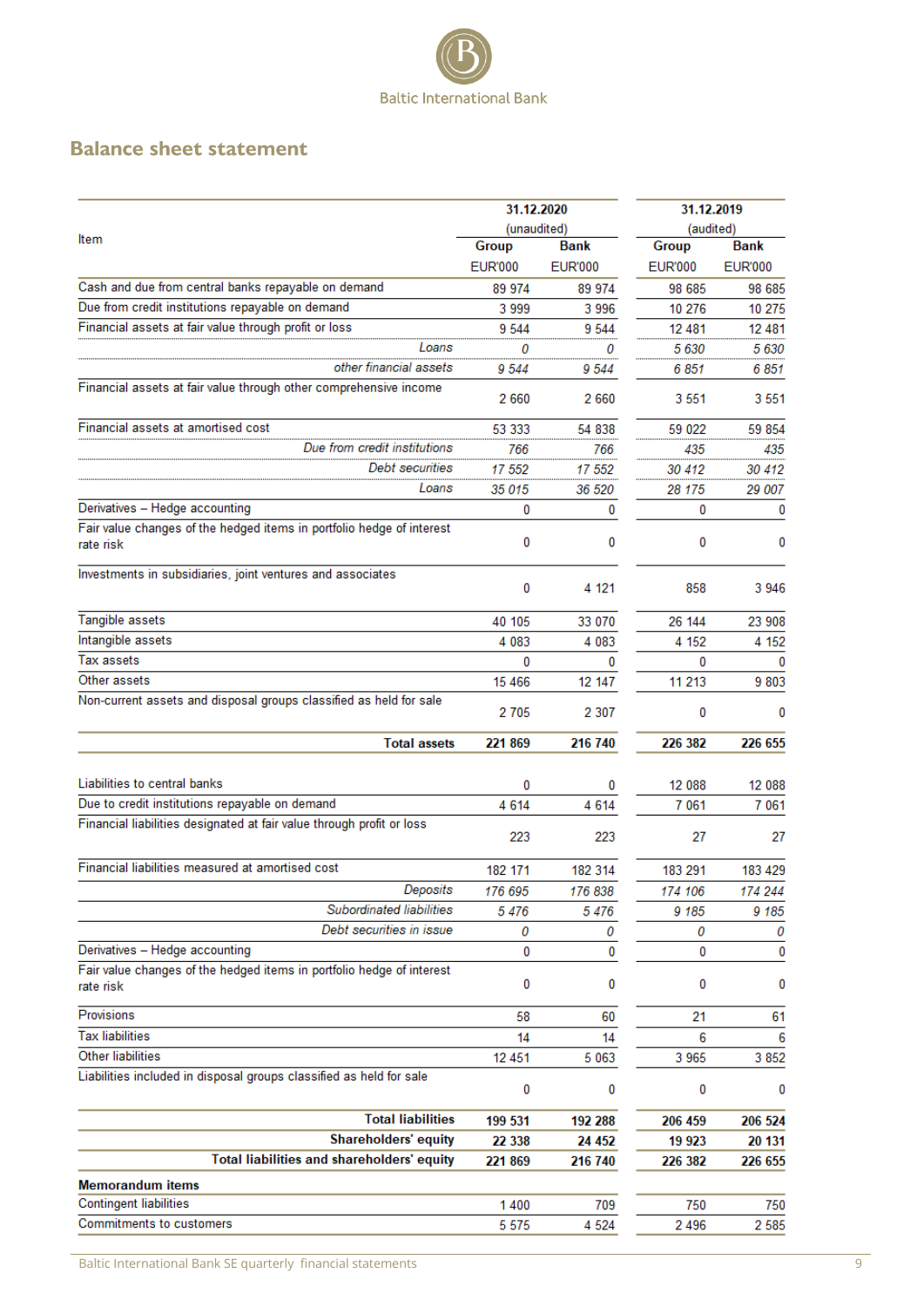

## **Balance sheet statement**

|                                                                                    | 31.12.2020     |                | 31.12.2019     |                |
|------------------------------------------------------------------------------------|----------------|----------------|----------------|----------------|
|                                                                                    | (unaudited)    |                | (audited)      |                |
| Item                                                                               | <b>Group</b>   | <b>Bank</b>    | <b>Group</b>   | <b>Bank</b>    |
|                                                                                    | <b>EUR'000</b> | <b>EUR'000</b> | <b>EUR'000</b> | <b>EUR'000</b> |
| Cash and due from central banks repayable on demand                                | 89 974         | 89 974         | 98 685         | 98 685         |
| Due from credit institutions repayable on demand                                   | 3 999          | 3996           | 10 276         | 10 275         |
| Financial assets at fair value through profit or loss                              | 9 5 4 4        | 9 5 4 4        | 12 4 8 1       | 12 4 8 1       |
| Loans                                                                              | 0              | 0              | 5 6 3 0        | 5 630          |
| other financial assets                                                             | 9 544          | 9 544          | 6851           | 6851           |
| Financial assets at fair value through other comprehensive income                  | 2660           | 2660           | 3551           | 3551           |
| Financial assets at amortised cost                                                 | 53 333         | 54 838         | 59 022         | 59 854         |
| Due from credit institutions                                                       | 766            | 766            | 435            | 435            |
| Debt securities                                                                    | 17 552         | 17 552         | 30 412         | 30 412         |
| Loans                                                                              | 35 015         | 36 520         | 28 175         | 29 007         |
| Derivatives - Hedge accounting                                                     | 0              | 0              | 0              | 0              |
| Fair value changes of the hedged items in portfolio hedge of interest              |                |                |                |                |
| rate risk                                                                          | 0              | 0              | 0              | 0              |
| Investments in subsidiaries, joint ventures and associates                         | 0              | 4 121          | 858            | 3 946          |
| Tangible assets                                                                    | 40 105         | 33 070         | 26 144         | 23 908         |
| Intangible assets                                                                  | 4 083          | 4 0 8 3        | 4 152          | 4 152          |
| Tax assets                                                                         | 0              | 0              | 0              | 0              |
| Other assets                                                                       | 15 4 66        | 12 147         | 11 213         | 9 803          |
| Non-current assets and disposal groups classified as held for sale                 | 2705           | 2 307          | 0              | 0              |
| <b>Total assets</b>                                                                | 221 869        | 216 740        | 226 382        | 226 655        |
| Liabilities to central banks                                                       | 0              | 0              | 12 088         | 12 088         |
| Due to credit institutions repayable on demand                                     | 4614           | 4614           | 7 0 6 1        | 7 0 6 1        |
| Financial liabilities designated at fair value through profit or loss              |                |                |                |                |
|                                                                                    | 223            | 223            | 27             | 27             |
| Financial liabilities measured at amortised cost                                   | 182 171        | 182 314        | 183 291        | 183 429        |
| Deposits                                                                           | 176 695        | 176 838        | 174 106        | 174 244        |
| Subordinated liabilities                                                           | 5 4 7 6        | 5476           | 9 185          | 9 185          |
| Debt securities in issue                                                           | 0              | 0              | 0              | 0              |
| Derivatives - Hedge accounting                                                     | 0              | 0              | 0              | 0              |
| Fair value changes of the hedged items in portfolio hedge of interest<br>rate risk | 0              | 0              | 0              | 0              |
| Provisions                                                                         | 58             | 60             | 21             | 61             |
| <b>Tax liabilities</b>                                                             | 14             | 14             | 6              | 6              |
| Other liabilities                                                                  | 12 451         | 5 0 6 3        | 3 9 6 5        | 3 8 5 2        |
| Liabilities included in disposal groups classified as held for sale                | 0              | 0              | 0              | 0              |
| <b>Total liabilities</b>                                                           | 199 531        | 192 288        | 206 459        | 206 524        |
| <b>Shareholders' equity</b>                                                        | 22 338         | 24 452         | 19 923         | 20 131         |
| Total liabilities and shareholders' equity                                         | 221 869        | 216 740        | 226 382        | 226 655        |
| <b>Memorandum items</b>                                                            |                |                |                |                |
| <b>Contingent liabilities</b>                                                      | 1400           | 709            | 750            | 750            |
| <b>Commitments to customers</b>                                                    | 5 5 7 5        | 4 5 24         | 2 4 9 6        | 2585           |
|                                                                                    |                |                |                |                |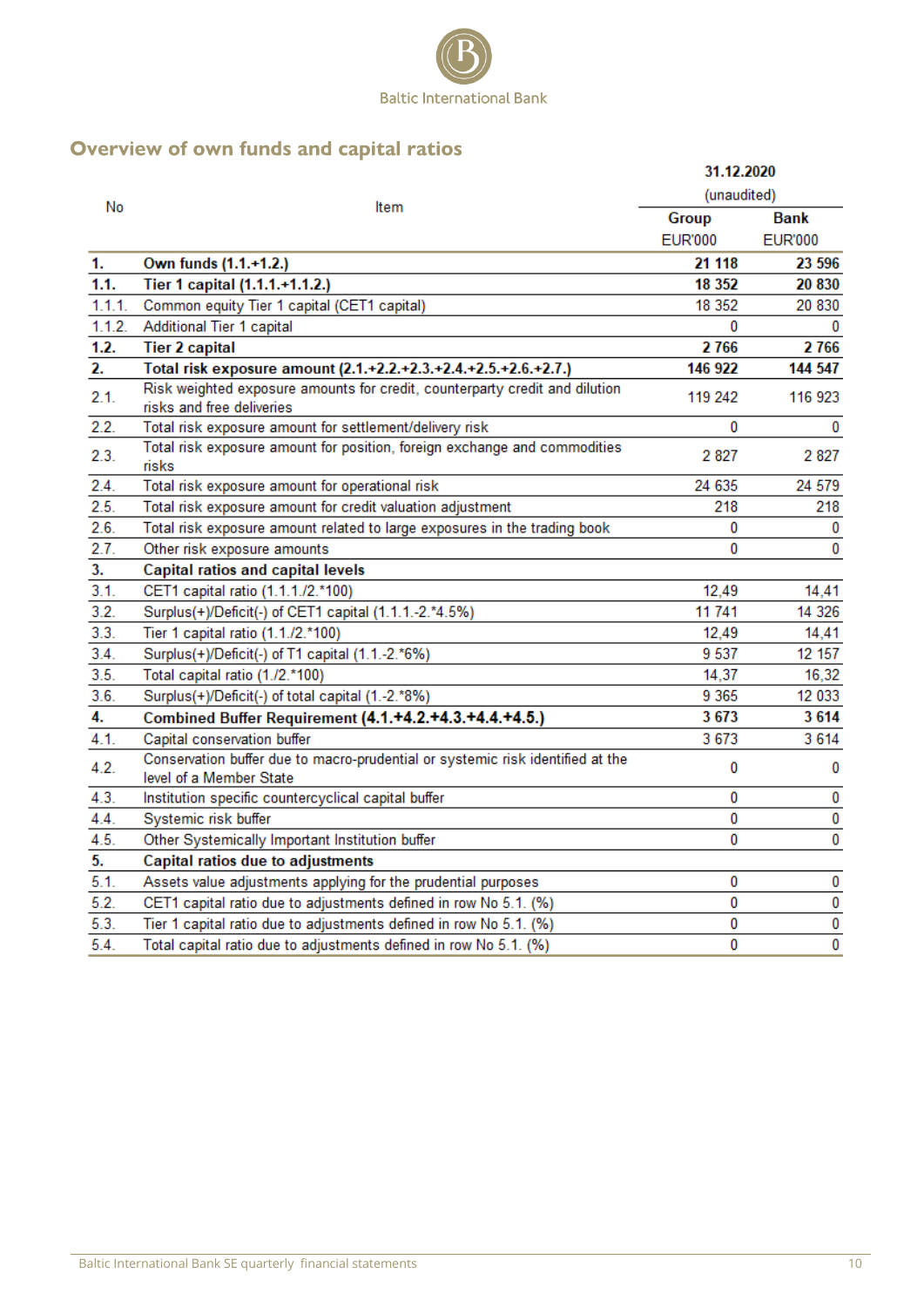

# <span id="page-9-0"></span>Overview of own funds and capital ratios

|                 |                                                                                                           | 31.12.2020     |                |
|-----------------|-----------------------------------------------------------------------------------------------------------|----------------|----------------|
|                 |                                                                                                           | (unaudited)    |                |
| No              | Item                                                                                                      | <b>Group</b>   | <b>Bank</b>    |
|                 |                                                                                                           | <b>EUR'000</b> | <b>EUR'000</b> |
| 1.              | Own funds (1.1.+1.2.)                                                                                     | 21 118         | 23 596         |
| 1.1.            | Tier 1 capital (1.1.1.+1.1.2.)                                                                            | 18 3 5 2       | 20 830         |
| 1.1.1.          | Common equity Tier 1 capital (CET1 capital)                                                               | 18 352         | 20 830         |
| 1.1.2.          | <b>Additional Tier 1 capital</b>                                                                          | 0              | $\Omega$       |
| 1.2.            | <b>Tier 2 capital</b>                                                                                     | 2766           | 2766           |
| $\overline{2.}$ | Total risk exposure amount (2.1.+2.2.+2.3.+2.4.+2.5.+2.6.+2.7.)                                           | 146 922        | 144 547        |
| 2.1.            | Risk weighted exposure amounts for credit, counterparty credit and dilution<br>risks and free deliveries  | 119 242        | 116 923        |
| 2.2.            | Total risk exposure amount for settlement/delivery risk                                                   | 0              | 0              |
| 2.3.            | Total risk exposure amount for position, foreign exchange and commodities<br>risks                        | 2 8 2 7        | 2 8 2 7        |
| 2.4.            | Total risk exposure amount for operational risk                                                           | 24 635         | 24 579         |
| 2.5.            | Total risk exposure amount for credit valuation adjustment                                                | 218            | 218            |
| 2.6.            | Total risk exposure amount related to large exposures in the trading book                                 | 0              | $^{\circ}$     |
| 2.7.            | Other risk exposure amounts                                                                               | 0              | 0              |
| 3.              | <b>Capital ratios and capital levels</b>                                                                  |                |                |
| 3.1.            | CET1 capital ratio (1.1.1./2.*100)                                                                        | 12,49          | 14,41          |
| 3.2.            | Surplus(+)/Deficit(-) of CET1 capital (1.1.1.-2.*4.5%)                                                    | 11741          | 14 3 26        |
| 3.3.            | Tier 1 capital ratio (1.1./2.*100)                                                                        | 12,49          | 14,41          |
| 3.4.            | Surplus(+)/Deficit(-) of T1 capital (1.1.-2.*6%)                                                          | 9537           | 12 157         |
| 3.5.            | Total capital ratio (1./2.*100)                                                                           | 14,37          | 16,32          |
| 3.6.            | Surplus(+)/Deficit(-) of total capital (1.-2.*8%)                                                         | 9 3 6 5        | 12 033         |
| 4.              | Combined Buffer Requirement (4.1.+4.2.+4.3.+4.4.+4.5.)                                                    | 3673           | 3614           |
| 4.1.            | Capital conservation buffer                                                                               | 3673           | 3614           |
| 4.2.            | Conservation buffer due to macro-prudential or systemic risk identified at the<br>level of a Member State | 0              | 0              |
| 4.3.            | Institution specific countercyclical capital buffer                                                       | 0              | 0              |
| 4.4.            | Systemic risk buffer                                                                                      | 0              | 0              |
| 4.5.            | Other Systemically Important Institution buffer                                                           | 0              | 0              |
| 5.              | Capital ratios due to adjustments                                                                         |                |                |
| 5.1.            | Assets value adjustments applying for the prudential purposes                                             | 0              | 0              |
| 5.2.            | CET1 capital ratio due to adjustments defined in row No 5.1. (%)                                          | 0              | 0              |
| 5.3.            | Tier 1 capital ratio due to adjustments defined in row No 5.1. (%)                                        | 0              | 0              |
| 5.4.            | Total capital ratio due to adjustments defined in row No 5.1. (%)                                         | 0              | $\bf{0}$       |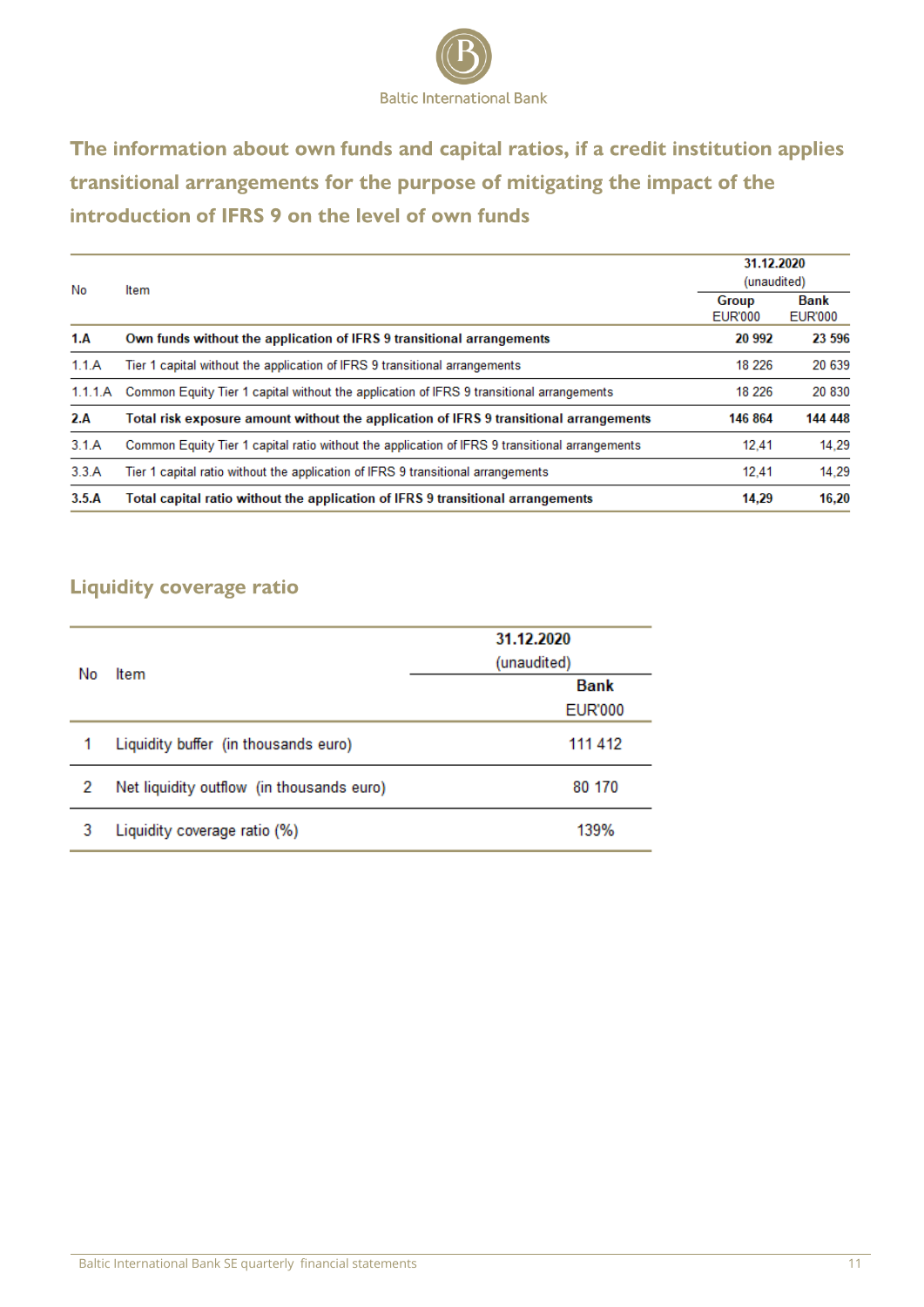

# The information about own funds and capital ratios, if a credit institution applies transitional arrangements for the purpose of mitigating the impact of the introduction of IFRS 9 on the level of own funds

|         | ltem                                                                                           |         | 31.12.2020<br>(unaudited) |  |  |
|---------|------------------------------------------------------------------------------------------------|---------|---------------------------|--|--|
| No      |                                                                                                |         | Bank<br><b>EUR'000</b>    |  |  |
| 1.A     | Own funds without the application of IFRS 9 transitional arrangements                          | 20 992  | 23 596                    |  |  |
| 1.1.A   | Tier 1 capital without the application of IFRS 9 transitional arrangements                     | 18 226  | 20 639                    |  |  |
| 1.1.1.A | Common Equity Tier 1 capital without the application of IFRS 9 transitional arrangements       | 18 226  | 20 830                    |  |  |
| 2.A     | Total risk exposure amount without the application of IFRS 9 transitional arrangements         | 146 864 | 144 448                   |  |  |
| 3.1.A   | Common Equity Tier 1 capital ratio without the application of IFRS 9 transitional arrangements | 12,41   | 14,29                     |  |  |
| 3.3.A   | Tier 1 capital ratio without the application of IFRS 9 transitional arrangements               | 12.41   | 14.29                     |  |  |
| 3.5.A   | Total capital ratio without the application of IFRS 9 transitional arrangements                | 14.29   | 16.20                     |  |  |

## <span id="page-10-0"></span>**Liquidity coverage ratio**

| No |                                           | 31.12.2020<br>(unaudited) |
|----|-------------------------------------------|---------------------------|
|    | Item                                      | <b>Bank</b>               |
|    |                                           | <b>EUR'000</b>            |
| 1  | Liquidity buffer (in thousands euro)      | 111 412                   |
| 2  | Net liquidity outflow (in thousands euro) | 80 170                    |
| 3  | Liquidity coverage ratio (%)              | 139%                      |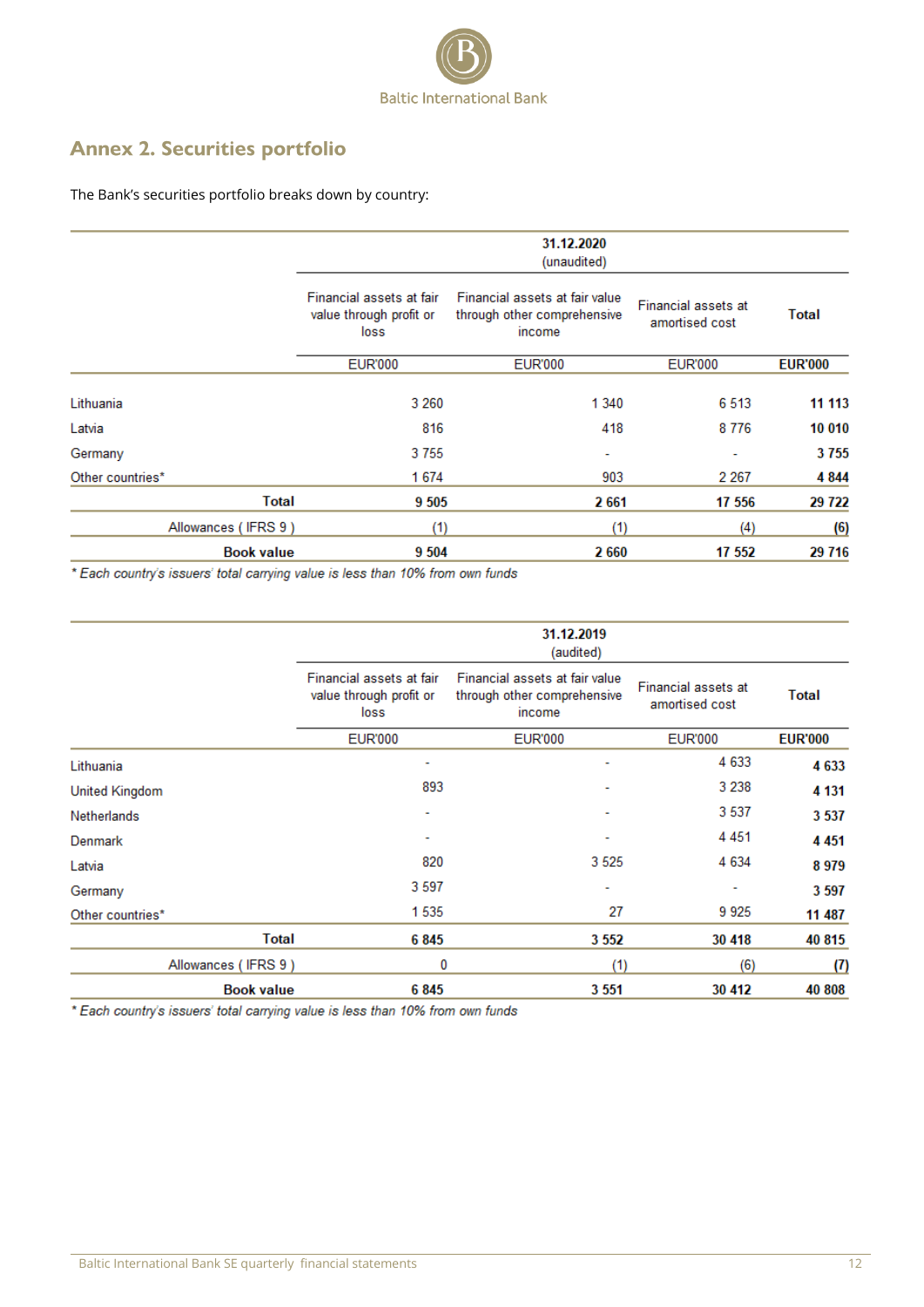

# <span id="page-11-0"></span>**Annex 2. Securities portfolio**

The Bank's securities portfolio breaks down by country:

<span id="page-11-1"></span>

|                     | Financial assets at fair<br>value through profit or<br>loss | Financial assets at fair value<br>through other comprehensive<br>income | Financial assets at<br>amortised cost | <b>Total</b>   |
|---------------------|-------------------------------------------------------------|-------------------------------------------------------------------------|---------------------------------------|----------------|
|                     | <b>EUR'000</b>                                              | <b>EUR'000</b>                                                          | <b>EUR'000</b>                        | <b>EUR'000</b> |
| Lithuania           | 3 2 6 0                                                     | 1 3 4 0                                                                 | 6 5 1 3                               | 11 113         |
| Latvia              | 816                                                         | 418                                                                     | 8776                                  | 10 010         |
| Germany             | 3755                                                        | ۰                                                                       |                                       | 3755           |
| Other countries*    | 1674                                                        | 903                                                                     | 2 2 6 7                               | 4 8 4 4        |
| Total               | 9 505                                                       | 2661                                                                    | 17 556                                | 29 7 22        |
| Allowances (IFRS 9) | (1)                                                         | (1)                                                                     | (4)                                   | (6)            |
| <b>Book value</b>   | 9 504                                                       | 2660                                                                    | 17 552                                | 29 716         |

\* Each country's issuers' total carrying value is less than 10% from own funds

|                     | 31.12.2019<br>(audited)                                     |                                                                         |                                              |                |
|---------------------|-------------------------------------------------------------|-------------------------------------------------------------------------|----------------------------------------------|----------------|
|                     | Financial assets at fair<br>value through profit or<br>loss | Financial assets at fair value<br>through other comprehensive<br>income | <b>Financial assets at</b><br>amortised cost | Total          |
|                     | <b>EUR'000</b>                                              | <b>EUR'000</b>                                                          | <b>EUR'000</b>                               | <b>EUR'000</b> |
| Lithuania           | ۰                                                           | ٠                                                                       | 4 6 3 3                                      | 4633           |
| United Kingdom      | 893                                                         |                                                                         | 3 2 3 8                                      | 4 1 3 1        |
| Netherlands         | ٠                                                           | ۰                                                                       | 3 5 3 7                                      | 3 5 3 7        |
| Denmark             | ٠                                                           |                                                                         | 4451                                         | 4 4 5 1        |
| Latvia              | 820                                                         | 3 5 2 5                                                                 | 4 6 3 4                                      | 8979           |
| Germany             | 3597                                                        | ۰                                                                       | ۰                                            | 3 5 9 7        |
| Other countries*    | 1535                                                        | 27                                                                      | 9 9 2 5                                      | 11 487         |
| Total               | 6845                                                        | 3 5 5 2                                                                 | 30 418                                       | 40 815         |
| Allowances (IFRS 9) | 0                                                           | (1)                                                                     | (6)                                          | (7)            |
| <b>Book value</b>   | 6845                                                        | 3 5 5 1                                                                 | 30 412                                       | 40 808         |

\* Each country's issuers' total carrying value is less than 10% from own funds